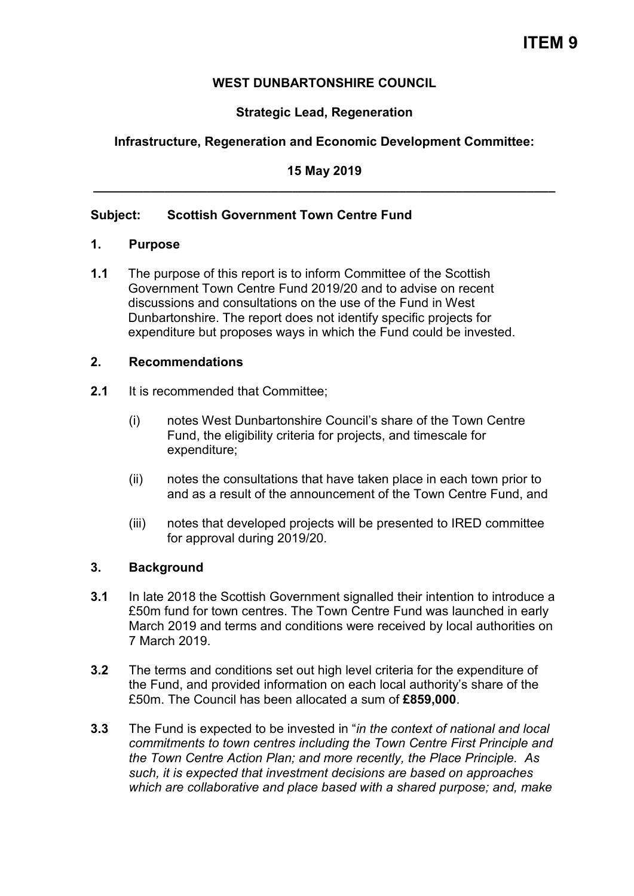## **WEST DUNBARTONSHIRE COUNCIL**

## **Strategic Lead, Regeneration**

## **Infrastructure, Regeneration and Economic Development Committee:**

#### **15 May 2019 \_\_\_\_\_\_\_\_\_\_\_\_\_\_\_\_\_\_\_\_\_\_\_\_\_\_\_\_\_\_\_\_\_\_\_\_\_\_\_\_\_\_\_\_\_\_\_\_\_\_\_\_\_\_\_\_\_\_\_\_\_\_\_\_\_**

### **Subject: Scottish Government Town Centre Fund**

#### **1. Purpose**

**1.1** The purpose of this report is to inform Committee of the Scottish Government Town Centre Fund 2019/20 and to advise on recent discussions and consultations on the use of the Fund in West Dunbartonshire. The report does not identify specific projects for expenditure but proposes ways in which the Fund could be invested.

#### **2. Recommendations**

- **2.1** It is recommended that Committee;
	- (i) notes West Dunbartonshire Council's share of the Town Centre Fund, the eligibility criteria for projects, and timescale for expenditure;
	- (ii) notes the consultations that have taken place in each town prior to and as a result of the announcement of the Town Centre Fund, and
	- (iii) notes that developed projects will be presented to IRED committee for approval during 2019/20.

### **3. Background**

- **3.1** In late 2018 the Scottish Government signalled their intention to introduce a £50m fund for town centres. The Town Centre Fund was launched in early March 2019 and terms and conditions were received by local authorities on 7 March 2019.
- **3.2** The terms and conditions set out high level criteria for the expenditure of the Fund, and provided information on each local authority's share of the £50m. The Council has been allocated a sum of **£859,000**.
- **3.3** The Fund is expected to be invested in "*in the context of national and local commitments to town centres including the Town Centre First Principle and the Town Centre Action Plan; and more recently, the Place Principle. As such, it is expected that investment decisions are based on approaches which are collaborative and place based with a shared purpose; and, make*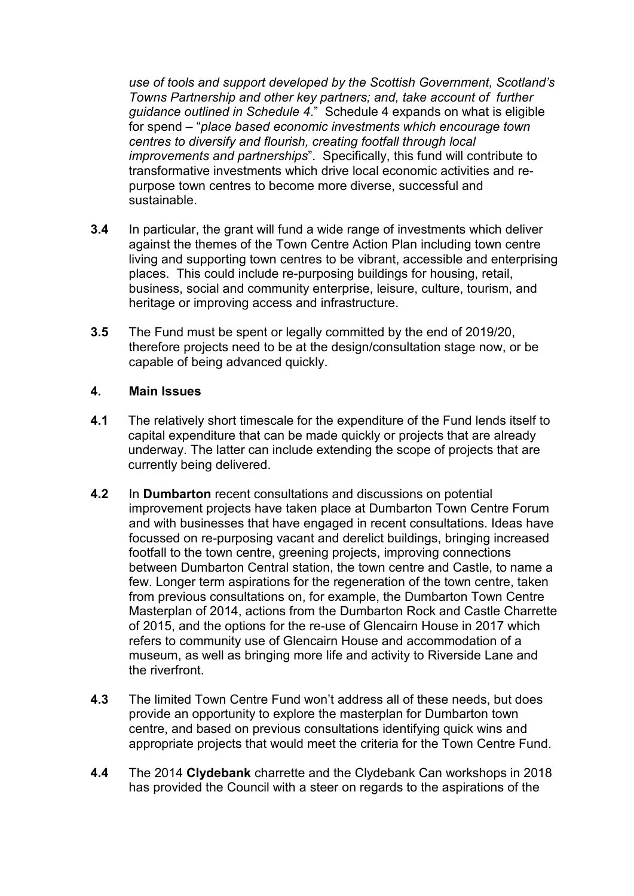*use of tools and support developed by the Scottish Government, Scotland's Towns Partnership and other key partners; and, take account of further guidance outlined in Schedule 4*." Schedule 4 expands on what is eligible for spend – "*place based economic investments which encourage town centres to diversify and flourish, creating footfall through local improvements and partnerships*". Specifically, this fund will contribute to transformative investments which drive local economic activities and repurpose town centres to become more diverse, successful and sustainable.

- **3.4** In particular, the grant will fund a wide range of investments which deliver against the themes of the Town Centre Action Plan including town centre living and supporting town centres to be vibrant, accessible and enterprising places. This could include re-purposing buildings for housing, retail, business, social and community enterprise, leisure, culture, tourism, and heritage or improving access and infrastructure.
- **3.5** The Fund must be spent or legally committed by the end of 2019/20, therefore projects need to be at the design/consultation stage now, or be capable of being advanced quickly.

### **4. Main Issues**

- **4.1** The relatively short timescale for the expenditure of the Fund lends itself to capital expenditure that can be made quickly or projects that are already underway. The latter can include extending the scope of projects that are currently being delivered.
- **4.2** In **Dumbarton** recent consultations and discussions on potential improvement projects have taken place at Dumbarton Town Centre Forum and with businesses that have engaged in recent consultations. Ideas have focussed on re-purposing vacant and derelict buildings, bringing increased footfall to the town centre, greening projects, improving connections between Dumbarton Central station, the town centre and Castle, to name a few. Longer term aspirations for the regeneration of the town centre, taken from previous consultations on, for example, the Dumbarton Town Centre Masterplan of 2014, actions from the Dumbarton Rock and Castle Charrette of 2015, and the options for the re-use of Glencairn House in 2017 which refers to community use of Glencairn House and accommodation of a museum, as well as bringing more life and activity to Riverside Lane and the riverfront.
- **4.3** The limited Town Centre Fund won't address all of these needs, but does provide an opportunity to explore the masterplan for Dumbarton town centre, and based on previous consultations identifying quick wins and appropriate projects that would meet the criteria for the Town Centre Fund.
- **4.4** The 2014 **Clydebank** charrette and the Clydebank Can workshops in 2018 has provided the Council with a steer on regards to the aspirations of the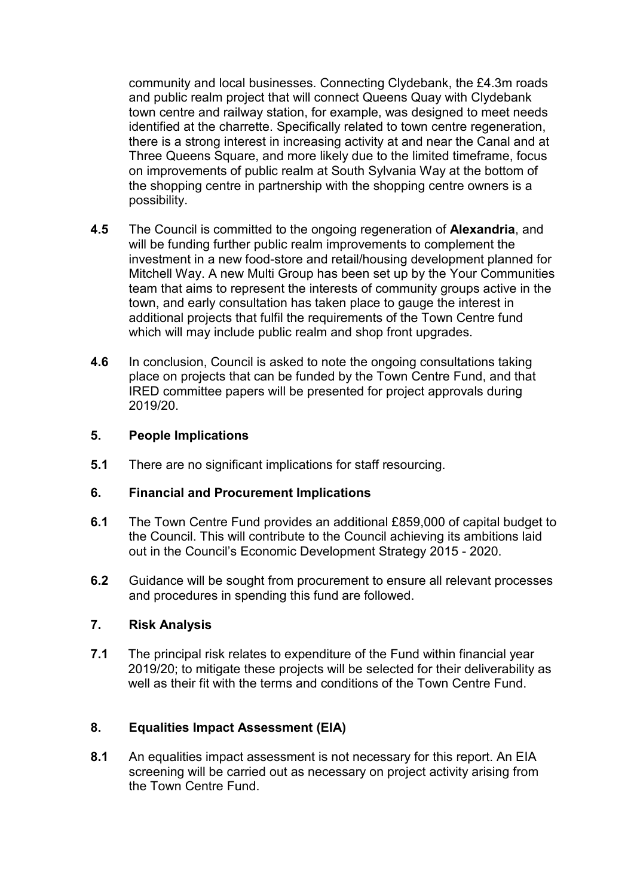community and local businesses. Connecting Clydebank, the £4.3m roads and public realm project that will connect Queens Quay with Clydebank town centre and railway station, for example, was designed to meet needs identified at the charrette. Specifically related to town centre regeneration, there is a strong interest in increasing activity at and near the Canal and at Three Queens Square, and more likely due to the limited timeframe, focus on improvements of public realm at South Sylvania Way at the bottom of the shopping centre in partnership with the shopping centre owners is a possibility.

- **4.5** The Council is committed to the ongoing regeneration of **Alexandria**, and will be funding further public realm improvements to complement the investment in a new food-store and retail/housing development planned for Mitchell Way. A new Multi Group has been set up by the Your Communities team that aims to represent the interests of community groups active in the town, and early consultation has taken place to gauge the interest in additional projects that fulfil the requirements of the Town Centre fund which will may include public realm and shop front upgrades.
- **4.6** In conclusion, Council is asked to note the ongoing consultations taking place on projects that can be funded by the Town Centre Fund, and that IRED committee papers will be presented for project approvals during 2019/20.

### **5. People Implications**

**5.1** There are no significant implications for staff resourcing.

### **6. Financial and Procurement Implications**

- **6.1** The Town Centre Fund provides an additional £859,000 of capital budget to the Council. This will contribute to the Council achieving its ambitions laid out in the Council's Economic Development Strategy 2015 - 2020.
- **6.2** Guidance will be sought from procurement to ensure all relevant processes and procedures in spending this fund are followed.

# **7. Risk Analysis**

**7.1** The principal risk relates to expenditure of the Fund within financial year 2019/20; to mitigate these projects will be selected for their deliverability as well as their fit with the terms and conditions of the Town Centre Fund.

# **8. Equalities Impact Assessment (EIA)**

**8.1** An equalities impact assessment is not necessary for this report. An EIA screening will be carried out as necessary on project activity arising from the Town Centre Fund.